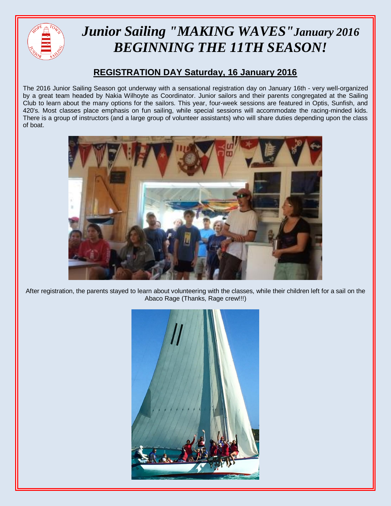

## *Junior Sailing "MAKING WAVES"January 2016 BEGINNING THE 11TH SEASON!*

## **REGISTRATION DAY Saturday, 16 January 2016**

The 2016 Junior Sailing Season got underway with a sensational registration day on January 16th - very well-organized by a great team headed by Nakia Wilhoyte as Coordinator. Junior sailors and their parents congregated at the Sailing Club to learn about the many options for the sailors. This year, four-week sessions are featured in Optis, Sunfish, and 420's. Most classes place emphasis on fun sailing, while special sessions will accommodate the racing-minded kids. There is a group of instructors (and a large group of volunteer assistants) who will share duties depending upon the class of boat.



After registration, the parents stayed to learn about volunteering with the classes, while their children left for a sail on the Abaco Rage (Thanks, Rage crew!!!)